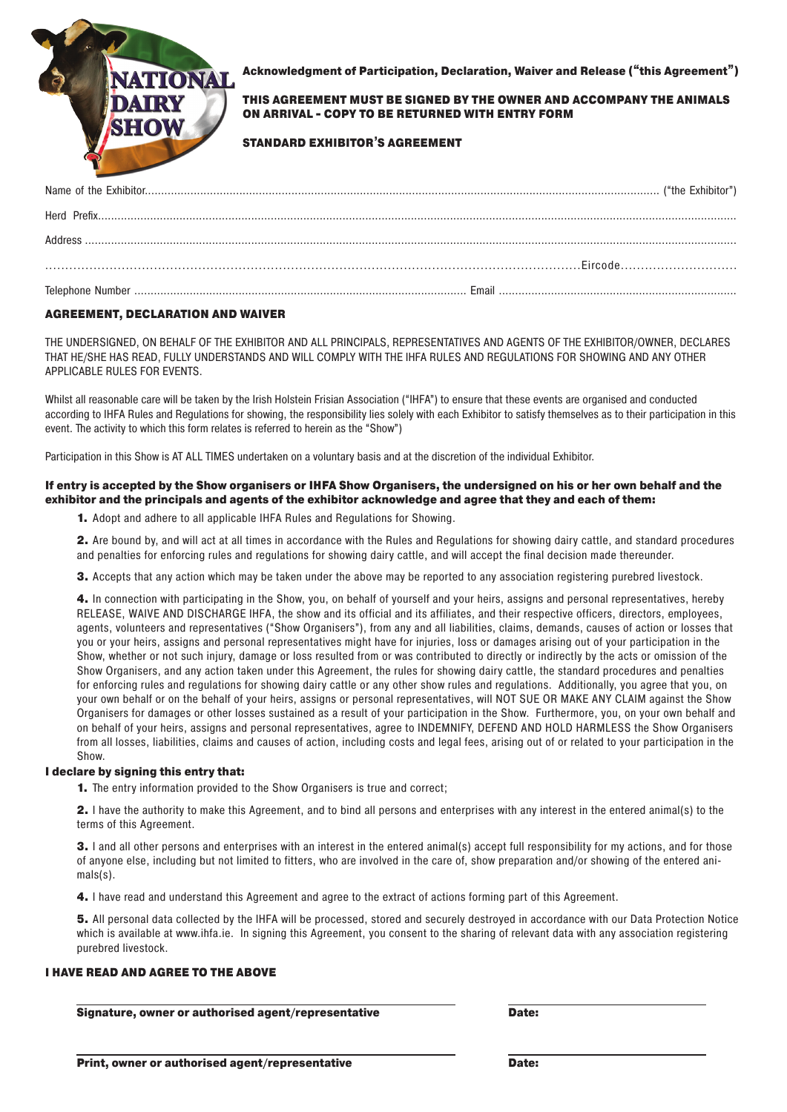

Acknowledgment of Participation, Declaration, Waiver and Release ("this Agreement")

THIS AGREEMENT MUST BE SIGNED BY THE OWNER AND ACCOMPANY THE ANIMALS ON ARRIVAL - COPY TO BE RETURNED WITH ENTRY FORM

#### STANDARD EXHIBITOR'S AGREEMENT

### AGREEMENT, DECLARATION AND WAIVER

THE UNDERSIGNED, ON BEHALF OF THE EXHIBITOR AND ALL PRINCIPALS, REPRESENTATIVES AND AGENTS OF THE EXHIBITOR/OWNER, DECLARES THAT HE/SHE HAS READ, FULLY UNDERSTANDS AND WILL COMPLY WITH THE IHFA RULES AND REGULATIONS FOR SHOWING AND ANY OTHER APPLICABLE RULES FOR EVENTS.

Whilst all reasonable care will be taken by the Irish Holstein Frisian Association ("IHFA") to ensure that these events are organised and conducted according to IHFA Rules and Regulations for showing, the responsibility lies solely with each Exhibitor to satisfy themselves as to their participation in this event. The activity to which this form relates is referred to herein as the "Show")

Participation in this Show is AT ALL TIMES undertaken on a voluntary basis and at the discretion of the individual Exhibitor.

#### If entry is accepted by the Show organisers or IHFA Show Organisers, the undersigned on his or her own behalf and the exhibitor and the principals and agents of the exhibitor acknowledge and agree that they and each of them:

1. Adopt and adhere to all applicable IHFA Rules and Regulations for Showing.

2. Are bound by, and will act at all times in accordance with the Rules and Regulations for showing dairy cattle, and standard procedures and penalties for enforcing rules and regulations for showing dairy cattle, and will accept the final decision made thereunder.

3. Accepts that any action which may be taken under the above may be reported to any association registering purebred livestock.

4. In connection with participating in the Show, you, on behalf of yourself and your heirs, assigns and personal representatives, hereby RELEASE, WAIVE AND DISCHARGE IHFA, the show and its official and its affiliates, and their respective officers, directors, employees, agents, volunteers and representatives ("Show Organisers"), from any and all liabilities, claims, demands, causes of action or losses that you or your heirs, assigns and personal representatives might have for injuries, loss or damages arising out of your participation in the Show, whether or not such injury, damage or loss resulted from or was contributed to directly or indirectly by the acts or omission of the Show Organisers, and any action taken under this Agreement, the rules for showing dairy cattle, the standard procedures and penalties for enforcing rules and regulations for showing dairy cattle or any other show rules and regulations. Additionally, you agree that you, on your own behalf or on the behalf of your heirs, assigns or personal representatives, will NOT SUE OR MAKE ANY CLAIM against the Show Organisers for damages or other losses sustained as a result of your participation in the Show. Furthermore, you, on your own behalf and on behalf of your heirs, assigns and personal representatives, agree to INDEMNIFY, DEFEND AND HOLD HARMLESS the Show Organisers from all losses, liabilities, claims and causes of action, including costs and legal fees, arising out of or related to your participation in the Show.

#### I declare by signing this entry that:

1. The entry information provided to the Show Organisers is true and correct;

2. I have the authority to make this Agreement, and to bind all persons and enterprises with any interest in the entered animal(s) to the terms of this Agreement.

3. I and all other persons and enterprises with an interest in the entered animal(s) accept full responsibility for my actions, and for those of anyone else, including but not limited to fitters, who are involved in the care of, show preparation and/or showing of the entered animals(s).

4. I have read and understand this Agreement and agree to the extract of actions forming part of this Agreement.

5. All personal data collected by the IHFA will be processed, stored and securely destroyed in accordance with our Data Protection Notice which is available at www.ihfa.ie. In signing this Agreement, you consent to the sharing of relevant data with any association registering purebred livestock.

#### I HAVE READ AND AGREE TO THE ABOVE

Signature, owner or authorised agent/representative

Date: